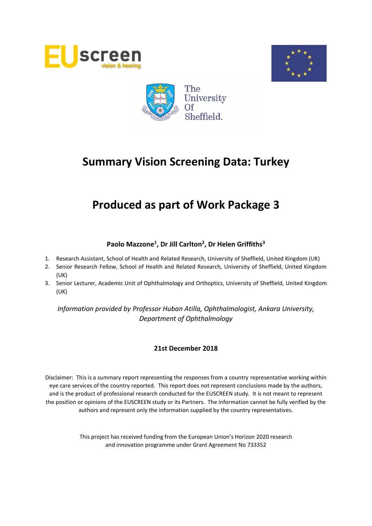





# **Produced as part of Work Package 3**

# **Paolo Mazzone<sup>1</sup> , Dr Jill Carlton<sup>2</sup> , Dr Helen Griffiths<sup>3</sup>**

- 1. Research Assistant, School of Health and Related Research, University of Sheffield, United Kingdom (UK)
- 2. Senior Research Fellow, School of Health and Related Research, University of Sheffield, United Kingdom (UK)
- 3. Senior Lecturer, Academic Unit of Ophthalmology and Orthoptics, University of Sheffield, United Kingdom (UK)

*Information provided by Professor Huban Atilla, Ophthalmologist, Ankara University, Department of Ophthalmology*

# **21st December 2018**

Disclaimer: This is a summary report representing the responses from a country representative working within eye care services of the country reported. This report does not represent conclusions made by the authors, and is the product of professional research conducted for the EUSCREEN study. It is not meant to represent the position or opinions of the EUSCREEN study or its Partners. The information cannot be fully verified by the authors and represent only the information supplied by the country representatives.

> This project has received funding from the European Union's Horizon 2020 research and innovation programme under Grant Agreement No 733352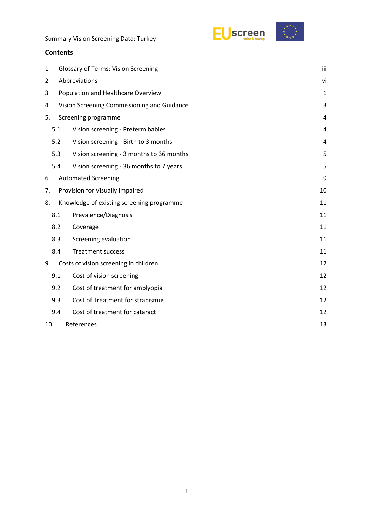



### **Contents**

| 1   | <b>Glossary of Terms: Vision Screening</b>  |                                           |    |  |  |  |
|-----|---------------------------------------------|-------------------------------------------|----|--|--|--|
| 2   | Abbreviations                               |                                           |    |  |  |  |
| 3   | Population and Healthcare Overview          |                                           |    |  |  |  |
| 4.  | Vision Screening Commissioning and Guidance |                                           |    |  |  |  |
| 5.  | Screening programme                         |                                           |    |  |  |  |
|     | 5.1                                         | Vision screening - Preterm babies         | 4  |  |  |  |
|     | 5.2                                         | Vision screening - Birth to 3 months      | 4  |  |  |  |
|     | 5.3                                         | Vision screening - 3 months to 36 months  | 5  |  |  |  |
|     | 5.4                                         | Vision screening - 36 months to 7 years   | 5  |  |  |  |
| 6.  | <b>Automated Screening</b><br>9             |                                           |    |  |  |  |
| 7.  |                                             | Provision for Visually Impaired           | 10 |  |  |  |
| 8.  |                                             | Knowledge of existing screening programme | 11 |  |  |  |
|     | 8.1                                         | Prevalence/Diagnosis                      | 11 |  |  |  |
|     | 8.2                                         | Coverage                                  | 11 |  |  |  |
|     | 8.3                                         | Screening evaluation                      | 11 |  |  |  |
|     | 8.4                                         | <b>Treatment success</b>                  | 11 |  |  |  |
| 9.  |                                             | Costs of vision screening in children     | 12 |  |  |  |
|     | 9.1                                         | Cost of vision screening                  | 12 |  |  |  |
|     | 9.2                                         | Cost of treatment for amblyopia           | 12 |  |  |  |
|     | 9.3                                         | Cost of Treatment for strabismus          | 12 |  |  |  |
|     | 9.4                                         | Cost of treatment for cataract            | 12 |  |  |  |
| 10. |                                             | References                                | 13 |  |  |  |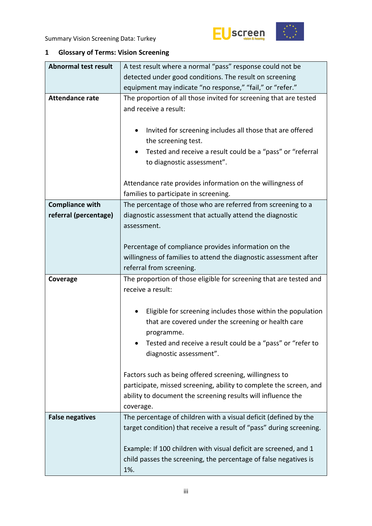



# <span id="page-2-0"></span>**1 Glossary of Terms: Vision Screening**

| <b>Abnormal test result</b> | A test result where a normal "pass" response could not be                                                                                                                                                                      |  |  |  |  |  |
|-----------------------------|--------------------------------------------------------------------------------------------------------------------------------------------------------------------------------------------------------------------------------|--|--|--|--|--|
|                             | detected under good conditions. The result on screening                                                                                                                                                                        |  |  |  |  |  |
|                             | equipment may indicate "no response," "fail," or "refer."                                                                                                                                                                      |  |  |  |  |  |
| <b>Attendance rate</b>      | The proportion of all those invited for screening that are tested<br>and receive a result:                                                                                                                                     |  |  |  |  |  |
|                             | Invited for screening includes all those that are offered<br>٠<br>the screening test.                                                                                                                                          |  |  |  |  |  |
|                             | Tested and receive a result could be a "pass" or "referral<br>٠<br>to diagnostic assessment".                                                                                                                                  |  |  |  |  |  |
|                             | Attendance rate provides information on the willingness of<br>families to participate in screening.                                                                                                                            |  |  |  |  |  |
| <b>Compliance with</b>      | The percentage of those who are referred from screening to a                                                                                                                                                                   |  |  |  |  |  |
| referral (percentage)       | diagnostic assessment that actually attend the diagnostic<br>assessment.                                                                                                                                                       |  |  |  |  |  |
|                             | Percentage of compliance provides information on the                                                                                                                                                                           |  |  |  |  |  |
|                             | willingness of families to attend the diagnostic assessment after                                                                                                                                                              |  |  |  |  |  |
|                             | referral from screening.                                                                                                                                                                                                       |  |  |  |  |  |
| Coverage                    | The proportion of those eligible for screening that are tested and<br>receive a result:                                                                                                                                        |  |  |  |  |  |
|                             | Eligible for screening includes those within the population<br>٠<br>that are covered under the screening or health care<br>programme.<br>Tested and receive a result could be a "pass" or "refer to<br>diagnostic assessment". |  |  |  |  |  |
|                             | Factors such as being offered screening, willingness to<br>participate, missed screening, ability to complete the screen, and<br>ability to document the screening results will influence the<br>coverage.                     |  |  |  |  |  |
| <b>False negatives</b>      | The percentage of children with a visual deficit (defined by the<br>target condition) that receive a result of "pass" during screening.                                                                                        |  |  |  |  |  |
|                             | Example: If 100 children with visual deficit are screened, and 1                                                                                                                                                               |  |  |  |  |  |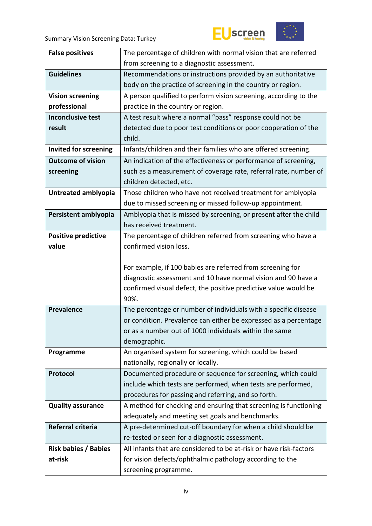



| <b>False positives</b>       | The percentage of children with normal vision that are referred    |  |  |  |
|------------------------------|--------------------------------------------------------------------|--|--|--|
|                              | from screening to a diagnostic assessment.                         |  |  |  |
| <b>Guidelines</b>            | Recommendations or instructions provided by an authoritative       |  |  |  |
|                              | body on the practice of screening in the country or region.        |  |  |  |
| <b>Vision screening</b>      | A person qualified to perform vision screening, according to the   |  |  |  |
| professional                 | practice in the country or region.                                 |  |  |  |
| <b>Inconclusive test</b>     | A test result where a normal "pass" response could not be          |  |  |  |
| result                       | detected due to poor test conditions or poor cooperation of the    |  |  |  |
|                              | child.                                                             |  |  |  |
| <b>Invited for screening</b> | Infants/children and their families who are offered screening.     |  |  |  |
| <b>Outcome of vision</b>     | An indication of the effectiveness or performance of screening,    |  |  |  |
| screening                    | such as a measurement of coverage rate, referral rate, number of   |  |  |  |
|                              | children detected, etc.                                            |  |  |  |
| Untreated amblyopia          | Those children who have not received treatment for amblyopia       |  |  |  |
|                              | due to missed screening or missed follow-up appointment.           |  |  |  |
| Persistent amblyopia         | Amblyopia that is missed by screening, or present after the child  |  |  |  |
|                              | has received treatment.                                            |  |  |  |
| <b>Positive predictive</b>   | The percentage of children referred from screening who have a      |  |  |  |
| value                        | confirmed vision loss.                                             |  |  |  |
|                              |                                                                    |  |  |  |
|                              | For example, if 100 babies are referred from screening for         |  |  |  |
|                              | diagnostic assessment and 10 have normal vision and 90 have a      |  |  |  |
|                              | confirmed visual defect, the positive predictive value would be    |  |  |  |
|                              | 90%.                                                               |  |  |  |
| <b>Prevalence</b>            | The percentage or number of individuals with a specific disease    |  |  |  |
|                              | or condition. Prevalence can either be expressed as a percentage   |  |  |  |
|                              | or as a number out of 1000 individuals within the same             |  |  |  |
|                              | demographic.                                                       |  |  |  |
|                              |                                                                    |  |  |  |
| Programme                    | An organised system for screening, which could be based            |  |  |  |
|                              | nationally, regionally or locally.                                 |  |  |  |
| Protocol                     | Documented procedure or sequence for screening, which could        |  |  |  |
|                              | include which tests are performed, when tests are performed,       |  |  |  |
|                              | procedures for passing and referring, and so forth.                |  |  |  |
| <b>Quality assurance</b>     | A method for checking and ensuring that screening is functioning   |  |  |  |
|                              | adequately and meeting set goals and benchmarks.                   |  |  |  |
| <b>Referral criteria</b>     | A pre-determined cut-off boundary for when a child should be       |  |  |  |
|                              | re-tested or seen for a diagnostic assessment.                     |  |  |  |
| <b>Risk babies / Babies</b>  | All infants that are considered to be at-risk or have risk-factors |  |  |  |
| at-risk                      | for vision defects/ophthalmic pathology according to the           |  |  |  |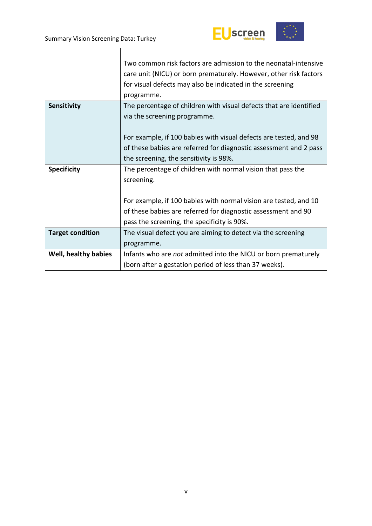



|                         | Two common risk factors are admission to the neonatal-intensive<br>care unit (NICU) or born prematurely. However, other risk factors<br>for visual defects may also be indicated in the screening<br>programme. |
|-------------------------|-----------------------------------------------------------------------------------------------------------------------------------------------------------------------------------------------------------------|
| <b>Sensitivity</b>      | The percentage of children with visual defects that are identified<br>via the screening programme.                                                                                                              |
|                         | For example, if 100 babies with visual defects are tested, and 98<br>of these babies are referred for diagnostic assessment and 2 pass<br>the screening, the sensitivity is 98%.                                |
| <b>Specificity</b>      | The percentage of children with normal vision that pass the<br>screening.                                                                                                                                       |
|                         | For example, if 100 babies with normal vision are tested, and 10<br>of these babies are referred for diagnostic assessment and 90<br>pass the screening, the specificity is 90%.                                |
| <b>Target condition</b> | The visual defect you are aiming to detect via the screening<br>programme.                                                                                                                                      |
| Well, healthy babies    | Infants who are not admitted into the NICU or born prematurely<br>(born after a gestation period of less than 37 weeks).                                                                                        |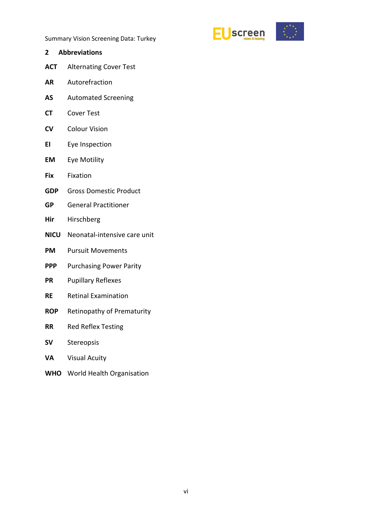

- <span id="page-5-0"></span>**2 Abbreviations ACT** Alternating Cover Test
- **AR** Autorefraction
- **AS** Automated Screening
- **CT** Cover Test
- **CV** Colour Vision
- **EI** Eye Inspection
- **EM** Eye Motility
- **Fix** Fixation
- **GDP** Gross Domestic Product
- **GP** General Practitioner
- **Hir** Hirschberg
- **NICU** Neonatal-intensive care unit
- **PM** Pursuit Movements
- **PPP** Purchasing Power Parity
- **PR** Pupillary Reflexes
- **RE** Retinal Examination
- **ROP** Retinopathy of Prematurity
- **RR** Red Reflex Testing
- **SV** Stereopsis
- **VA** Visual Acuity
- **WHO** World Health Organisation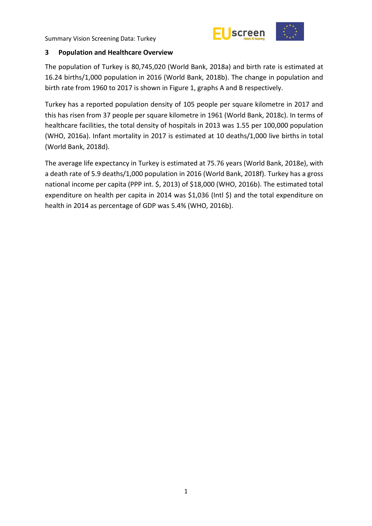

### <span id="page-6-0"></span>**3 Population and Healthcare Overview**

The population of Turkey is 80,745,020 (World Bank, 2018a) and birth rate is estimated at 16.24 births/1,000 population in 2016 (World Bank, 2018b). The change in population and birth rate from 1960 to 2017 is shown in Figure 1, graphs A and B respectively.

Turkey has a reported population density of 105 people per square kilometre in 2017 and this has risen from 37 people per square kilometre in 1961 (World Bank, 2018c). In terms of healthcare facilities, the total density of hospitals in 2013 was 1.55 per 100,000 population (WHO, 2016a). Infant mortality in 2017 is estimated at 10 deaths/1,000 live births in total (World Bank, 2018d).

The average life expectancy in Turkey is estimated at 75.76 years (World Bank, 2018e), with a death rate of 5.9 deaths/1,000 population in 2016 (World Bank, 2018f). Turkey has a gross national income per capita (PPP int. \$, 2013) of \$18,000 (WHO, 2016b). The estimated total expenditure on health per capita in 2014 was \$1,036 (Intl \$) and the total expenditure on health in 2014 as percentage of GDP was 5.4% (WHO, 2016b).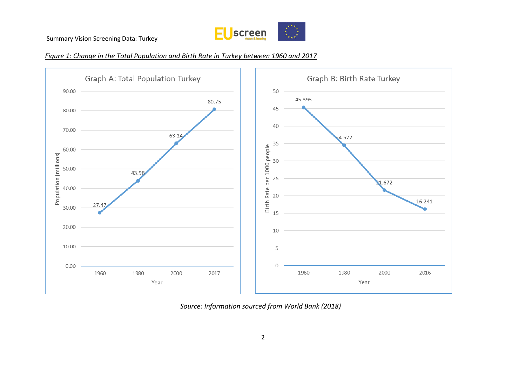

#### *Figure 1: Change in the Total Population and Birth Rate in Turkey between 1960 and 2017*



*Source: Information sourced from World Bank (2018)*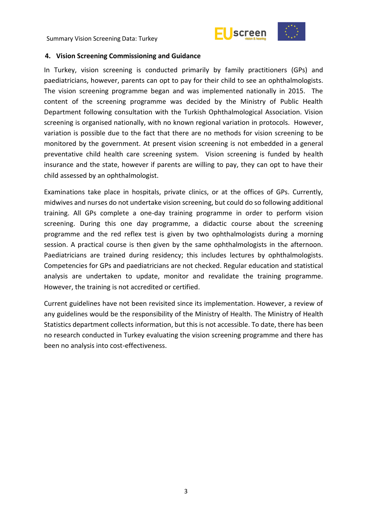



#### <span id="page-8-0"></span>**4. Vision Screening Commissioning and Guidance**

In Turkey, vision screening is conducted primarily by family practitioners (GPs) and paediatricians, however, parents can opt to pay for their child to see an ophthalmologists. The vision screening programme began and was implemented nationally in 2015. The content of the screening programme was decided by the Ministry of Public Health Department following consultation with the Turkish Ophthalmological Association. Vision screening is organised nationally, with no known regional variation in protocols. However, variation is possible due to the fact that there are no methods for vision screening to be monitored by the government. At present vision screening is not embedded in a general preventative child health care screening system. Vision screening is funded by health insurance and the state, however if parents are willing to pay, they can opt to have their child assessed by an ophthalmologist.

Examinations take place in hospitals, private clinics, or at the offices of GPs. Currently, midwives and nurses do not undertake vision screening, but could do so following additional training. All GPs complete a one-day training programme in order to perform vision screening. During this one day programme, a didactic course about the screening programme and the red reflex test is given by two ophthalmologists during a morning session. A practical course is then given by the same ophthalmologists in the afternoon. Paediatricians are trained during residency; this includes lectures by ophthalmologists. Competencies for GPs and paediatricians are not checked. Regular education and statistical analysis are undertaken to update, monitor and revalidate the training programme. However, the training is not accredited or certified.

Current guidelines have not been revisited since its implementation. However, a review of any guidelines would be the responsibility of the Ministry of Health. The Ministry of Health Statistics department collects information, but this is not accessible. To date, there has been no research conducted in Turkey evaluating the vision screening programme and there has been no analysis into cost-effectiveness.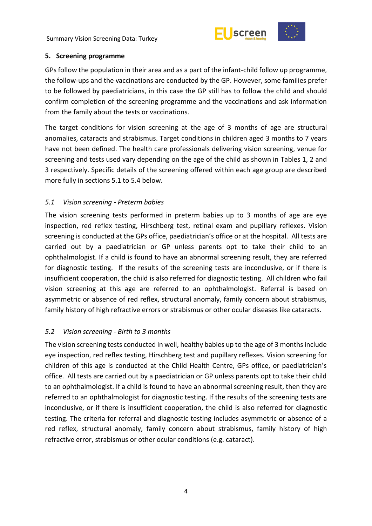



#### <span id="page-9-0"></span>**5. Screening programme**

GPs follow the population in their area and as a part of the infant-child follow up programme, the follow-ups and the vaccinations are conducted by the GP. However, some families prefer to be followed by paediatricians, in this case the GP still has to follow the child and should confirm completion of the screening programme and the vaccinations and ask information from the family about the tests or vaccinations.

The target conditions for vision screening at the age of 3 months of age are structural anomalies, cataracts and strabismus. Target conditions in children aged 3 months to 7 years have not been defined. The health care professionals delivering vision screening, venue for screening and tests used vary depending on the age of the child as shown in Tables 1, 2 and 3 respectively. Specific details of the screening offered within each age group are described more fully in sections 5.1 to 5.4 below.

# <span id="page-9-1"></span>*5.1 Vision screening - Preterm babies*

The vision screening tests performed in preterm babies up to 3 months of age are eye inspection, red reflex testing, Hirschberg test, retinal exam and pupillary reflexes. Vision screening is conducted at the GPs office, paediatrician's office or at the hospital. All tests are carried out by a paediatrician or GP unless parents opt to take their child to an ophthalmologist. If a child is found to have an abnormal screening result, they are referred for diagnostic testing. If the results of the screening tests are inconclusive, or if there is insufficient cooperation, the child is also referred for diagnostic testing. All children who fail vision screening at this age are referred to an ophthalmologist. Referral is based on asymmetric or absence of red reflex, structural anomaly, family concern about strabismus, family history of high refractive errors or strabismus or other ocular diseases like cataracts.

# <span id="page-9-2"></span>*5.2 Vision screening - Birth to 3 months*

The vision screening tests conducted in well, healthy babies up to the age of 3 months include eye inspection, red reflex testing, Hirschberg test and pupillary reflexes. Vision screening for children of this age is conducted at the Child Health Centre, GPs office, or paediatrician's office. All tests are carried out by a paediatrician or GP unless parents opt to take their child to an ophthalmologist. If a child is found to have an abnormal screening result, then they are referred to an ophthalmologist for diagnostic testing. If the results of the screening tests are inconclusive, or if there is insufficient cooperation, the child is also referred for diagnostic testing. The criteria for referral and diagnostic testing includes asymmetric or absence of a red reflex, structural anomaly, family concern about strabismus, family history of high refractive error, strabismus or other ocular conditions (e.g. cataract).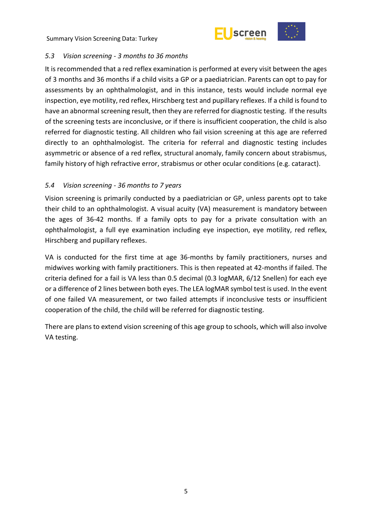



# <span id="page-10-0"></span>*5.3 Vision screening - 3 months to 36 months*

It is recommended that a red reflex examination is performed at every visit between the ages of 3 months and 36 months if a child visits a GP or a paediatrician. Parents can opt to pay for assessments by an ophthalmologist, and in this instance, tests would include normal eye inspection, eye motility, red reflex, Hirschberg test and pupillary reflexes. If a child is found to have an abnormal screening result, then they are referred for diagnostic testing. If the results of the screening tests are inconclusive, or if there is insufficient cooperation, the child is also referred for diagnostic testing. All children who fail vision screening at this age are referred directly to an ophthalmologist. The criteria for referral and diagnostic testing includes asymmetric or absence of a red reflex, structural anomaly, family concern about strabismus, family history of high refractive error, strabismus or other ocular conditions (e.g. cataract).

# <span id="page-10-1"></span>*5.4 Vision screening - 36 months to 7 years*

Vision screening is primarily conducted by a paediatrician or GP, unless parents opt to take their child to an ophthalmologist. A visual acuity (VA) measurement is mandatory between the ages of 36-42 months. If a family opts to pay for a private consultation with an ophthalmologist, a full eye examination including eye inspection, eye motility, red reflex, Hirschberg and pupillary reflexes.

VA is conducted for the first time at age 36-months by family practitioners, nurses and midwives working with family practitioners. This is then repeated at 42-months if failed. The criteria defined for a fail is VA less than 0.5 decimal (0.3 logMAR, 6/12 Snellen) for each eye or a difference of 2 lines between both eyes. The LEA logMAR symbol test is used. In the event of one failed VA measurement, or two failed attempts if inconclusive tests or insufficient cooperation of the child, the child will be referred for diagnostic testing.

There are plans to extend vision screening of this age group to schools, which will also involve VA testing.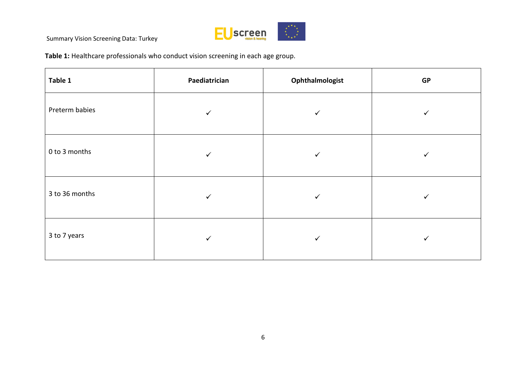

**Table 1:** Healthcare professionals who conduct vision screening in each age group*.*

| Table 1        | Paediatrician | Ophthalmologist | GP |
|----------------|---------------|-----------------|----|
| Preterm babies | $\checkmark$  | ✓               | ✓  |
| 0 to 3 months  | ✓             | ✓               | ✓  |
| 3 to 36 months | ✓             | ✓               | ✓  |
| 3 to 7 years   | ✓             | ✓               |    |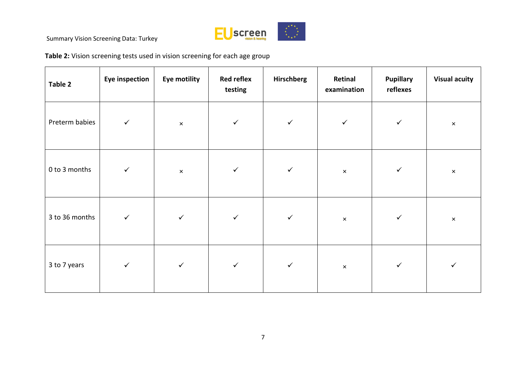

**Table 2:** Vision screening tests used in vision screening for each age group

| Table 2        | <b>Eye inspection</b> | <b>Eye motility</b> | <b>Red reflex</b><br>testing | Hirschberg   | Retinal<br>examination | <b>Pupillary</b><br>reflexes | <b>Visual acuity</b> |
|----------------|-----------------------|---------------------|------------------------------|--------------|------------------------|------------------------------|----------------------|
| Preterm babies | $\checkmark$          | $\pmb{\times}$      | $\checkmark$                 | $\checkmark$ | $\checkmark$           | $\checkmark$                 | $\pmb{\times}$       |
| 0 to 3 months  | $\checkmark$          | $\times$            | $\checkmark$                 | $\checkmark$ | $\times$               | $\checkmark$                 | $\pmb{\times}$       |
| 3 to 36 months | $\checkmark$          | $\checkmark$        | $\checkmark$                 | $\checkmark$ | $\pmb{\times}$         | $\checkmark$                 | $\pmb{\times}$       |
| 3 to 7 years   | $\checkmark$          | $\checkmark$        | $\checkmark$                 | $\checkmark$ | $\pmb{\times}$         | $\checkmark$                 | $\checkmark$         |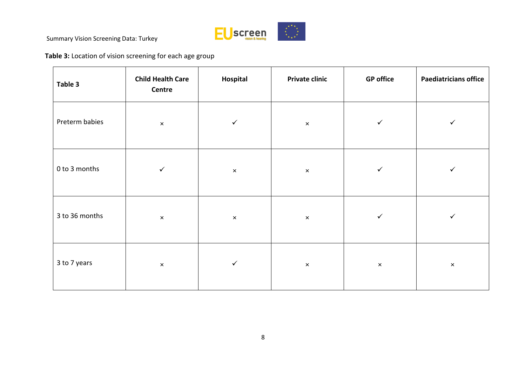

**Table 3:** Location of vision screening for each age group

| Table 3        | <b>Child Health Care</b><br>Centre | Hospital              | <b>Private clinic</b>     | <b>GP</b> office | <b>Paediatricians office</b> |
|----------------|------------------------------------|-----------------------|---------------------------|------------------|------------------------------|
| Preterm babies | $\pmb{\times}$                     | $\checkmark$          | $\boldsymbol{\mathsf{x}}$ | $\checkmark$     | $\checkmark$                 |
| 0 to 3 months  | $\checkmark$                       | $\pmb{\times}$        | $\pmb{\times}$            | $\checkmark$     | $\checkmark$                 |
| 3 to 36 months | $\pmb{\times}$                     | $\boldsymbol{\times}$ | $\pmb{\times}$            | ✓                | $\checkmark$                 |
| 3 to 7 years   | $\pmb{\times}$                     | $\checkmark$          | $\pmb{\times}$            | $\pmb{\times}$   | $\pmb{\times}$               |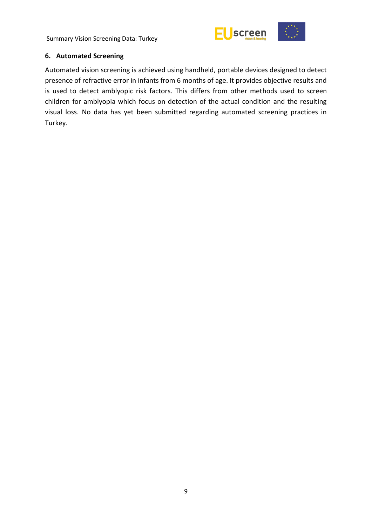

# <span id="page-14-0"></span>**6. Automated Screening**

Automated vision screening is achieved using handheld, portable devices designed to detect presence of refractive error in infants from 6 months of age. It provides objective results and is used to detect amblyopic risk factors. This differs from other methods used to screen children for amblyopia which focus on detection of the actual condition and the resulting visual loss. No data has yet been submitted regarding automated screening practices in Turkey.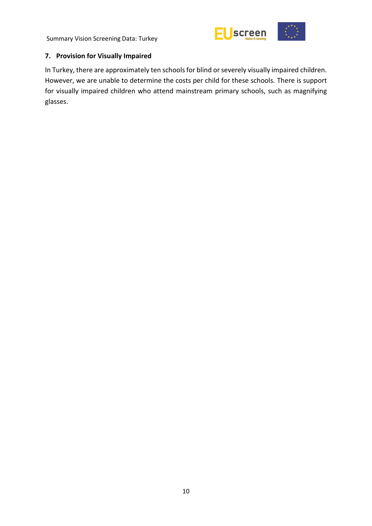

# <span id="page-15-0"></span>**7. Provision for Visually Impaired**

In Turkey, there are approximately ten schools for blind or severely visually impaired children. However, we are unable to determine the costs per child for these schools. There is support for visually impaired children who attend mainstream primary schools, such as magnifying glasses.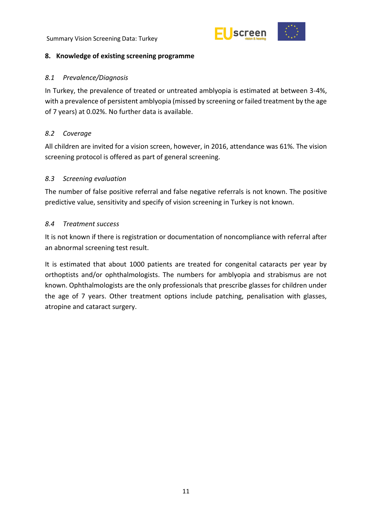



### <span id="page-16-0"></span>**8. Knowledge of existing screening programme**

### <span id="page-16-1"></span>*8.1 Prevalence/Diagnosis*

In Turkey, the prevalence of treated or untreated amblyopia is estimated at between 3-4%, with a prevalence of persistent amblyopia (missed by screening or failed treatment by the age of 7 years) at 0.02%. No further data is available.

# <span id="page-16-2"></span>*8.2 Coverage*

All children are invited for a vision screen, however, in 2016, attendance was 61%. The vision screening protocol is offered as part of general screening.

# <span id="page-16-3"></span>*8.3 Screening evaluation*

The number of false positive referral and false negative referrals is not known. The positive predictive value, sensitivity and specify of vision screening in Turkey is not known.

# <span id="page-16-4"></span>*8.4 Treatment success*

It is not known if there is registration or documentation of noncompliance with referral after an abnormal screening test result.

It is estimated that about 1000 patients are treated for congenital cataracts per year by orthoptists and/or ophthalmologists. The numbers for amblyopia and strabismus are not known. Ophthalmologists are the only professionals that prescribe glasses for children under the age of 7 years. Other treatment options include patching, penalisation with glasses, atropine and cataract surgery.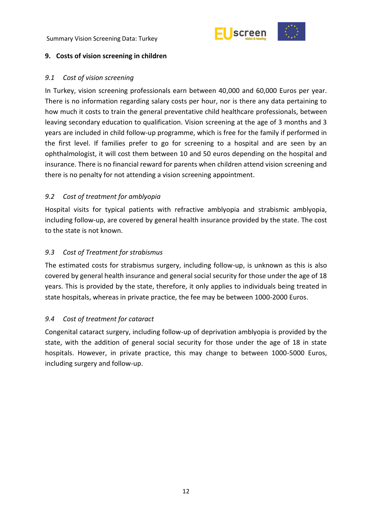



#### <span id="page-17-0"></span>**9. Costs of vision screening in children**

### <span id="page-17-1"></span>*9.1 Cost of vision screening*

In Turkey, vision screening professionals earn between 40,000 and 60,000 Euros per year. There is no information regarding salary costs per hour, nor is there any data pertaining to how much it costs to train the general preventative child healthcare professionals, between leaving secondary education to qualification. Vision screening at the age of 3 months and 3 years are included in child follow-up programme, which is free for the family if performed in the first level. If families prefer to go for screening to a hospital and are seen by an ophthalmologist, it will cost them between 10 and 50 euros depending on the hospital and insurance. There is no financial reward for parents when children attend vision screening and there is no penalty for not attending a vision screening appointment.

# <span id="page-17-2"></span>*9.2 Cost of treatment for amblyopia*

Hospital visits for typical patients with refractive amblyopia and strabismic amblyopia, including follow-up, are covered by general health insurance provided by the state. The cost to the state is not known.

# <span id="page-17-3"></span>*9.3 Cost of Treatment for strabismus*

The estimated costs for strabismus surgery, including follow-up, is unknown as this is also covered by general health insurance and general social security for those under the age of 18 years. This is provided by the state, therefore, it only applies to individuals being treated in state hospitals, whereas in private practice, the fee may be between 1000-2000 Euros.

# <span id="page-17-4"></span>*9.4 Cost of treatment for cataract*

Congenital cataract surgery, including follow-up of deprivation amblyopia is provided by the state, with the addition of general social security for those under the age of 18 in state hospitals. However, in private practice, this may change to between 1000-5000 Euros, including surgery and follow-up.